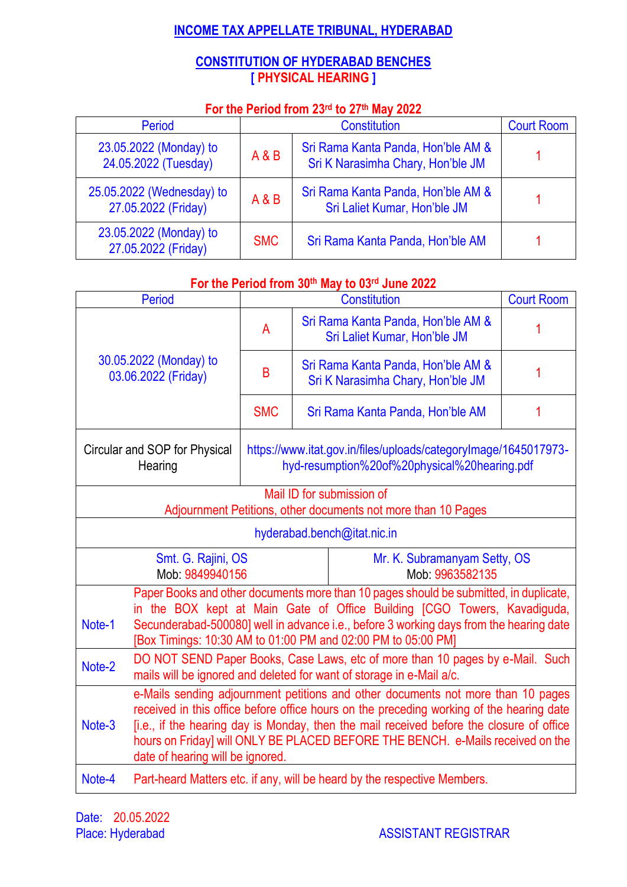# **INCOME TAX APPELLATE TRIBUNAL, HYDERABAD**

# **CONSTITUTION OF HYDERABAD BENCHES [ PHYSICAL HEARING ]**

# **For the Period from 23rd to 27 th May 2022**

| <b>Period</b>                                    |            | <b>Court Room</b>                                                       |  |
|--------------------------------------------------|------------|-------------------------------------------------------------------------|--|
| 23.05.2022 (Monday) to<br>24.05.2022 (Tuesday)   | A & B      | Sri Rama Kanta Panda, Hon'ble AM &<br>Sri K Narasimha Chary, Hon'ble JM |  |
| 25.05.2022 (Wednesday) to<br>27.05.2022 (Friday) | A & B      | Sri Rama Kanta Panda, Hon'ble AM &<br>Sri Laliet Kumar, Hon'ble JM      |  |
| 23.05.2022 (Monday) to<br>27.05.2022 (Friday)    | <b>SMC</b> | Sri Rama Kanta Panda, Hon'ble AM                                        |  |

# **For the Period from 30th May to 03rd June 2022**

|                                               | <b>Period</b>                                                                                                                                                                                                                                                                                                               |            | <b>Constitution</b>                                                                                                                                                                                                                                                                                                                                        | <b>Court Room</b> |
|-----------------------------------------------|-----------------------------------------------------------------------------------------------------------------------------------------------------------------------------------------------------------------------------------------------------------------------------------------------------------------------------|------------|------------------------------------------------------------------------------------------------------------------------------------------------------------------------------------------------------------------------------------------------------------------------------------------------------------------------------------------------------------|-------------------|
| 30.05.2022 (Monday) to<br>03.06.2022 (Friday) |                                                                                                                                                                                                                                                                                                                             | A          | Sri Rama Kanta Panda, Hon'ble AM &<br>Sri Laliet Kumar, Hon'ble JM                                                                                                                                                                                                                                                                                         |                   |
|                                               |                                                                                                                                                                                                                                                                                                                             | B          | Sri Rama Kanta Panda, Hon'ble AM &<br>Sri K Narasimha Chary, Hon'ble JM                                                                                                                                                                                                                                                                                    |                   |
|                                               |                                                                                                                                                                                                                                                                                                                             | <b>SMC</b> | Sri Rama Kanta Panda, Hon'ble AM                                                                                                                                                                                                                                                                                                                           | 1                 |
|                                               | Circular and SOP for Physical<br>Hearing                                                                                                                                                                                                                                                                                    |            | https://www.itat.gov.in/files/uploads/categoryImage/1645017973-<br>hyd-resumption%20of%20physical%20hearing.pdf                                                                                                                                                                                                                                            |                   |
|                                               | Mail ID for submission of<br>Adjournment Petitions, other documents not more than 10 Pages                                                                                                                                                                                                                                  |            |                                                                                                                                                                                                                                                                                                                                                            |                   |
|                                               |                                                                                                                                                                                                                                                                                                                             |            | hyderabad.bench@itat.nic.in                                                                                                                                                                                                                                                                                                                                |                   |
| Smt. G. Rajini, OS<br>Mob: 9849940156         |                                                                                                                                                                                                                                                                                                                             |            | Mr. K. Subramanyam Setty, OS<br>Mob. 9963582135                                                                                                                                                                                                                                                                                                            |                   |
| Note-1                                        | Paper Books and other documents more than 10 pages should be submitted, in duplicate,<br>in the BOX kept at Main Gate of Office Building [CGO Towers, Kavadiguda,<br>Secunderabad-500080] well in advance i.e., before 3 working days from the hearing date<br>[Box Timings: 10:30 AM to 01:00 PM and 02:00 PM to 05:00 PM] |            |                                                                                                                                                                                                                                                                                                                                                            |                   |
| Note-2                                        | DO NOT SEND Paper Books, Case Laws, etc of more than 10 pages by e-Mail. Such<br>mails will be ignored and deleted for want of storage in e-Mail a/c.                                                                                                                                                                       |            |                                                                                                                                                                                                                                                                                                                                                            |                   |
| Note-3                                        | date of hearing will be ignored.                                                                                                                                                                                                                                                                                            |            | e-Mails sending adjournment petitions and other documents not more than 10 pages<br>received in this office before office hours on the preceding working of the hearing date<br>[i.e., if the hearing day is Monday, then the mail received before the closure of office<br>hours on Friday] will ONLY BE PLACED BEFORE THE BENCH. e-Mails received on the |                   |
| Note-4                                        |                                                                                                                                                                                                                                                                                                                             |            | Part-heard Matters etc. if any, will be heard by the respective Members.                                                                                                                                                                                                                                                                                   |                   |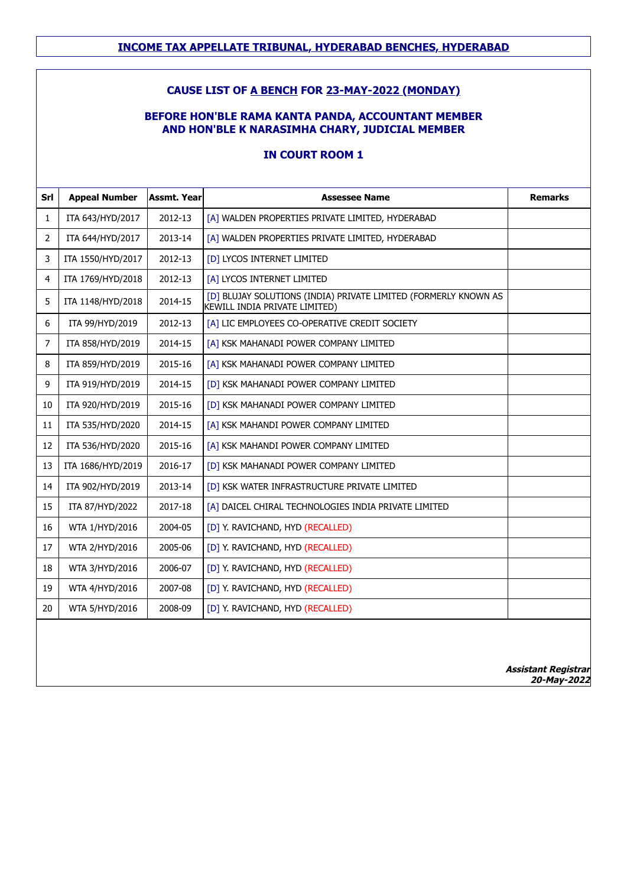### **CAUSE LIST OF A BENCH FOR 23-MAY-2022 (MONDAY)**

### **BEFORE HON'BLE RAMA KANTA PANDA, ACCOUNTANT MEMBER AND HON'BLE K NARASIMHA CHARY, JUDICIAL MEMBER**

| Srl            | <b>Appeal Number</b> | <b>Assmt. Year</b> | <b>Assessee Name</b>                                                                             | <b>Remarks</b>             |
|----------------|----------------------|--------------------|--------------------------------------------------------------------------------------------------|----------------------------|
| $\mathbf{1}$   | ITA 643/HYD/2017     | 2012-13            | [A] WALDEN PROPERTIES PRIVATE LIMITED, HYDERABAD                                                 |                            |
| $\overline{2}$ | ITA 644/HYD/2017     | 2013-14            | [A] WALDEN PROPERTIES PRIVATE LIMITED, HYDERABAD                                                 |                            |
| 3              | ITA 1550/HYD/2017    | 2012-13            | [D] LYCOS INTERNET LIMITED                                                                       |                            |
| $\overline{4}$ | ITA 1769/HYD/2018    | 2012-13            | [A] LYCOS INTERNET LIMITED                                                                       |                            |
| 5              | ITA 1148/HYD/2018    | 2014-15            | [D] BLUJAY SOLUTIONS (INDIA) PRIVATE LIMITED (FORMERLY KNOWN AS<br>KEWILL INDIA PRIVATE LIMITED) |                            |
| 6              | ITA 99/HYD/2019      | 2012-13            | [A] LIC EMPLOYEES CO-OPERATIVE CREDIT SOCIETY                                                    |                            |
| $\overline{7}$ | ITA 858/HYD/2019     | 2014-15            | [A] KSK MAHANADI POWER COMPANY LIMITED                                                           |                            |
| 8              | ITA 859/HYD/2019     | 2015-16            | [A] KSK MAHANADI POWER COMPANY LIMITED                                                           |                            |
| 9              | ITA 919/HYD/2019     | 2014-15            | [D] KSK MAHANADI POWER COMPANY LIMITED                                                           |                            |
| 10             | ITA 920/HYD/2019     | 2015-16            | [D] KSK MAHANADI POWER COMPANY LIMITED                                                           |                            |
| 11             | ITA 535/HYD/2020     | 2014-15            | [A] KSK MAHANDI POWER COMPANY LIMITED                                                            |                            |
| 12             | ITA 536/HYD/2020     | 2015-16            | [A] KSK MAHANDI POWER COMPANY LIMITED                                                            |                            |
| 13             | ITA 1686/HYD/2019    | 2016-17            | [D] KSK MAHANADI POWER COMPANY LIMITED                                                           |                            |
| 14             | ITA 902/HYD/2019     | 2013-14            | [D] KSK WATER INFRASTRUCTURE PRIVATE LIMITED                                                     |                            |
| 15             | ITA 87/HYD/2022      | 2017-18            | [A] DAICEL CHIRAL TECHNOLOGIES INDIA PRIVATE LIMITED                                             |                            |
| 16             | WTA 1/HYD/2016       | 2004-05            | [D] Y. RAVICHAND, HYD (RECALLED)                                                                 |                            |
| 17             | WTA 2/HYD/2016       | 2005-06            | [D] Y. RAVICHAND, HYD (RECALLED)                                                                 |                            |
| 18             | WTA 3/HYD/2016       | 2006-07            | [D] Y. RAVICHAND, HYD (RECALLED)                                                                 |                            |
| 19             | WTA 4/HYD/2016       | 2007-08            | [D] Y. RAVICHAND, HYD (RECALLED)                                                                 |                            |
| 20             | WTA 5/HYD/2016       | 2008-09            | [D] Y. RAVICHAND, HYD (RECALLED)                                                                 |                            |
|                |                      |                    |                                                                                                  | <b>Assistant Registrar</b> |
|                |                      |                    |                                                                                                  | 20-May-2022                |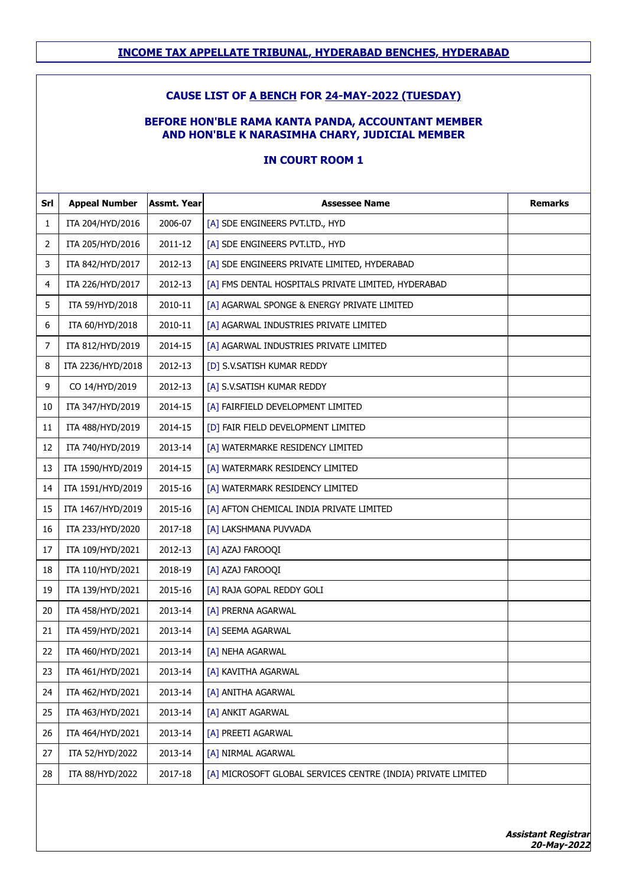#### **CAUSE LIST OF A BENCH FOR 24-MAY-2022 (TUESDAY)**

#### **BEFORE HON'BLE RAMA KANTA PANDA, ACCOUNTANT MEMBER AND HON'BLE K NARASIMHA CHARY, JUDICIAL MEMBER**

| Srl            | <b>Appeal Number</b> | Assmt. Year | <b>Assessee Name</b>                                         | <b>Remarks</b> |
|----------------|----------------------|-------------|--------------------------------------------------------------|----------------|
| 1              | ITA 204/HYD/2016     | 2006-07     | [A] SDE ENGINEERS PVT.LTD., HYD                              |                |
| 2              | ITA 205/HYD/2016     | 2011-12     | [A] SDE ENGINEERS PVT.LTD., HYD                              |                |
| 3              | ITA 842/HYD/2017     | 2012-13     | [A] SDE ENGINEERS PRIVATE LIMITED, HYDERABAD                 |                |
| 4              | ITA 226/HYD/2017     | 2012-13     | [A] FMS DENTAL HOSPITALS PRIVATE LIMITED, HYDERABAD          |                |
| 5              | ITA 59/HYD/2018      | 2010-11     | [A] AGARWAL SPONGE & ENERGY PRIVATE LIMITED                  |                |
| 6              | ITA 60/HYD/2018      | 2010-11     | [A] AGARWAL INDUSTRIES PRIVATE LIMITED                       |                |
| $\overline{7}$ | ITA 812/HYD/2019     | 2014-15     | [A] AGARWAL INDUSTRIES PRIVATE LIMITED                       |                |
| 8              | ITA 2236/HYD/2018    | 2012-13     | [D] S.V.SATISH KUMAR REDDY                                   |                |
| 9              | CO 14/HYD/2019       | 2012-13     | [A] S.V.SATISH KUMAR REDDY                                   |                |
| 10             | ITA 347/HYD/2019     | 2014-15     | [A] FAIRFIELD DEVELOPMENT LIMITED                            |                |
| 11             | ITA 488/HYD/2019     | 2014-15     | [D] FAIR FIELD DEVELOPMENT LIMITED                           |                |
| 12             | ITA 740/HYD/2019     | 2013-14     | [A] WATERMARKE RESIDENCY LIMITED                             |                |
| 13             | ITA 1590/HYD/2019    | 2014-15     | [A] WATERMARK RESIDENCY LIMITED                              |                |
| 14             | ITA 1591/HYD/2019    | 2015-16     | [A] WATERMARK RESIDENCY LIMITED                              |                |
| 15             | ITA 1467/HYD/2019    | 2015-16     | [A] AFTON CHEMICAL INDIA PRIVATE LIMITED                     |                |
| 16             | ITA 233/HYD/2020     | 2017-18     | [A] LAKSHMANA PUVVADA                                        |                |
| 17             | ITA 109/HYD/2021     | 2012-13     | [A] AZAJ FAROOQI                                             |                |
| 18             | ITA 110/HYD/2021     | 2018-19     | [A] AZAJ FAROOQI                                             |                |
| 19             | ITA 139/HYD/2021     | 2015-16     | [A] RAJA GOPAL REDDY GOLI                                    |                |
| 20             | ITA 458/HYD/2021     | 2013-14     | [A] PRERNA AGARWAL                                           |                |
| 21             | ITA 459/HYD/2021     | 2013-14     | [A] SEEMA AGARWAL                                            |                |
| 22             | ITA 460/HYD/2021     | 2013-14     | [A] NEHA AGARWAL                                             |                |
| 23             | ITA 461/HYD/2021     | 2013-14     | [A] KAVITHA AGARWAL                                          |                |
| 24             | ITA 462/HYD/2021     | 2013-14     | [A] ANITHA AGARWAL                                           |                |
| 25             | ITA 463/HYD/2021     | 2013-14     | [A] ANKIT AGARWAL                                            |                |
| 26             | ITA 464/HYD/2021     | 2013-14     | [A] PREETI AGARWAL                                           |                |
| 27             | ITA 52/HYD/2022      | 2013-14     | [A] NIRMAL AGARWAL                                           |                |
| 28             | ITA 88/HYD/2022      | 2017-18     | [A] MICROSOFT GLOBAL SERVICES CENTRE (INDIA) PRIVATE LIMITED |                |
|                |                      |             |                                                              |                |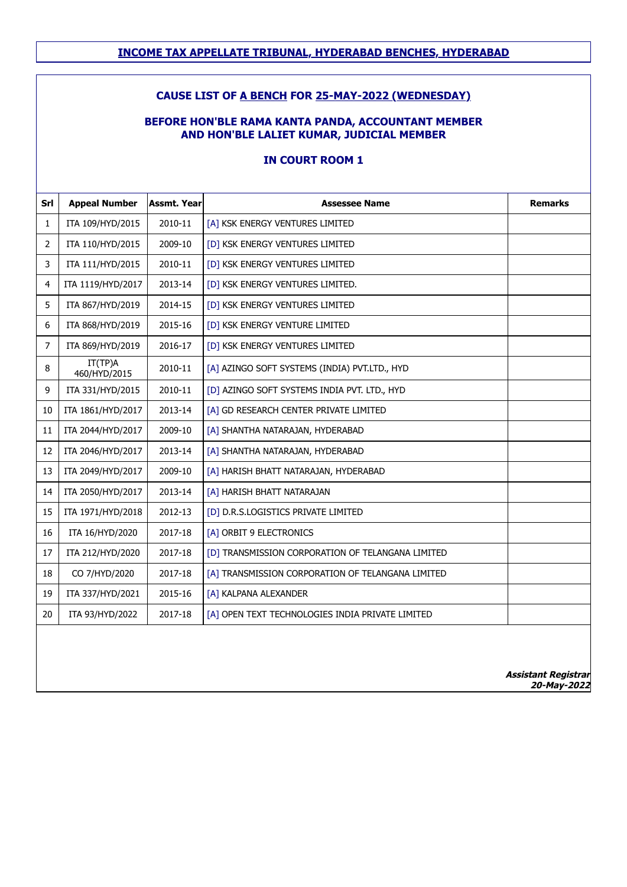### **CAUSE LIST OF A BENCH FOR 25-MAY-2022 (WEDNESDAY)**

#### **BEFORE HON'BLE RAMA KANTA PANDA, ACCOUNTANT MEMBER AND HON'BLE LALIET KUMAR, JUDICIAL MEMBER**

| $\mathbf{1}$   |                         |         |                                                   | <b>Remarks</b>             |
|----------------|-------------------------|---------|---------------------------------------------------|----------------------------|
|                | ITA 109/HYD/2015        | 2010-11 | [A] KSK ENERGY VENTURES LIMITED                   |                            |
| $\overline{2}$ | ITA 110/HYD/2015        | 2009-10 | [D] KSK ENERGY VENTURES LIMITED                   |                            |
| $\overline{3}$ | ITA 111/HYD/2015        | 2010-11 | [D] KSK ENERGY VENTURES LIMITED                   |                            |
| $\overline{4}$ | ITA 1119/HYD/2017       | 2013-14 | [D] KSK ENERGY VENTURES LIMITED.                  |                            |
| 5              | ITA 867/HYD/2019        | 2014-15 | [D] KSK ENERGY VENTURES LIMITED                   |                            |
| 6              | ITA 868/HYD/2019        | 2015-16 | [D] KSK ENERGY VENTURE LIMITED                    |                            |
| $\overline{7}$ | ITA 869/HYD/2019        | 2016-17 | [D] KSK ENERGY VENTURES LIMITED                   |                            |
| 8              | IT(TP)A<br>460/HYD/2015 | 2010-11 | [A] AZINGO SOFT SYSTEMS (INDIA) PVT.LTD., HYD     |                            |
| 9              | ITA 331/HYD/2015        | 2010-11 | [D] AZINGO SOFT SYSTEMS INDIA PVT. LTD., HYD      |                            |
| 10             | ITA 1861/HYD/2017       | 2013-14 | [A] GD RESEARCH CENTER PRIVATE LIMITED            |                            |
| 11             | ITA 2044/HYD/2017       | 2009-10 | [A] SHANTHA NATARAJAN, HYDERABAD                  |                            |
| 12             | ITA 2046/HYD/2017       | 2013-14 | [A] SHANTHA NATARAJAN, HYDERABAD                  |                            |
| 13             | ITA 2049/HYD/2017       | 2009-10 | [A] HARISH BHATT NATARAJAN, HYDERABAD             |                            |
| 14             | ITA 2050/HYD/2017       | 2013-14 | [A] HARISH BHATT NATARAJAN                        |                            |
| 15             | ITA 1971/HYD/2018       | 2012-13 | [D] D.R.S.LOGISTICS PRIVATE LIMITED               |                            |
| 16             | ITA 16/HYD/2020         | 2017-18 | [A] ORBIT 9 ELECTRONICS                           |                            |
| 17             | ITA 212/HYD/2020        | 2017-18 | [D] TRANSMISSION CORPORATION OF TELANGANA LIMITED |                            |
| 18             | CO 7/HYD/2020           | 2017-18 | [A] TRANSMISSION CORPORATION OF TELANGANA LIMITED |                            |
| 19             | ITA 337/HYD/2021        | 2015-16 | [A] KALPANA ALEXANDER                             |                            |
| 20             | ITA 93/HYD/2022         | 2017-18 | [A] OPEN TEXT TECHNOLOGIES INDIA PRIVATE LIMITED  |                            |
|                |                         |         |                                                   | <b>Assistant Registrar</b> |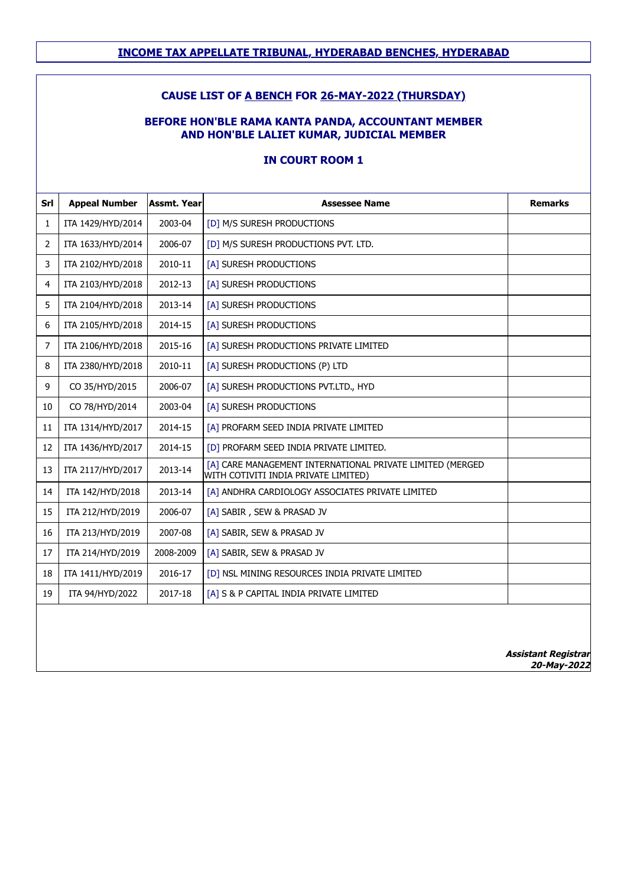### **CAUSE LIST OF A BENCH FOR 26-MAY-2022 (THURSDAY)**

#### **BEFORE HON'BLE RAMA KANTA PANDA, ACCOUNTANT MEMBER AND HON'BLE LALIET KUMAR, JUDICIAL MEMBER**

### **IN COURT ROOM 1**

| Srl            | <b>Appeal Number</b> | <b>Assmt. Year</b> | <b>Assessee Name</b>                                                                              | <b>Remarks</b> |
|----------------|----------------------|--------------------|---------------------------------------------------------------------------------------------------|----------------|
| 1              | ITA 1429/HYD/2014    | 2003-04            | [D] M/S SURESH PRODUCTIONS                                                                        |                |
| $\overline{2}$ | ITA 1633/HYD/2014    | 2006-07            | [D] M/S SURESH PRODUCTIONS PVT. LTD.                                                              |                |
| 3              | ITA 2102/HYD/2018    | 2010-11            | [A] SURESH PRODUCTIONS                                                                            |                |
| 4              | ITA 2103/HYD/2018    | 2012-13            | [A] SURESH PRODUCTIONS                                                                            |                |
| 5              | ITA 2104/HYD/2018    | 2013-14            | [A] SURESH PRODUCTIONS                                                                            |                |
| 6              | ITA 2105/HYD/2018    | 2014-15            | [A] SURESH PRODUCTIONS                                                                            |                |
| 7              | ITA 2106/HYD/2018    | 2015-16            | [A] SURESH PRODUCTIONS PRIVATE LIMITED                                                            |                |
| 8              | ITA 2380/HYD/2018    | 2010-11            | [A] SURESH PRODUCTIONS (P) LTD                                                                    |                |
| 9              | CO 35/HYD/2015       | 2006-07            | [A] SURESH PRODUCTIONS PVT.LTD., HYD                                                              |                |
| 10             | CO 78/HYD/2014       | 2003-04            | [A] SURESH PRODUCTIONS                                                                            |                |
| 11             | ITA 1314/HYD/2017    | 2014-15            | [A] PROFARM SEED INDIA PRIVATE LIMITED                                                            |                |
| 12             | ITA 1436/HYD/2017    | 2014-15            | [D] PROFARM SEED INDIA PRIVATE LIMITED.                                                           |                |
| 13             | ITA 2117/HYD/2017    | 2013-14            | [A] CARE MANAGEMENT INTERNATIONAL PRIVATE LIMITED (MERGED<br>WITH COTIVITI INDIA PRIVATE LIMITED) |                |
| 14             | ITA 142/HYD/2018     | 2013-14            | [A] ANDHRA CARDIOLOGY ASSOCIATES PRIVATE LIMITED                                                  |                |
| 15             | ITA 212/HYD/2019     | 2006-07            | [A] SABIR, SEW & PRASAD JV                                                                        |                |
| 16             | ITA 213/HYD/2019     | 2007-08            | [A] SABIR, SEW & PRASAD JV                                                                        |                |
| 17             | ITA 214/HYD/2019     | 2008-2009          | [A] SABIR, SEW & PRASAD JV                                                                        |                |
| 18             | ITA 1411/HYD/2019    | 2016-17            | [D] NSL MINING RESOURCES INDIA PRIVATE LIMITED                                                    |                |
| 19             | ITA 94/HYD/2022      | 2017-18            | [A] S & P CAPITAL INDIA PRIVATE LIMITED                                                           |                |
|                |                      |                    |                                                                                                   |                |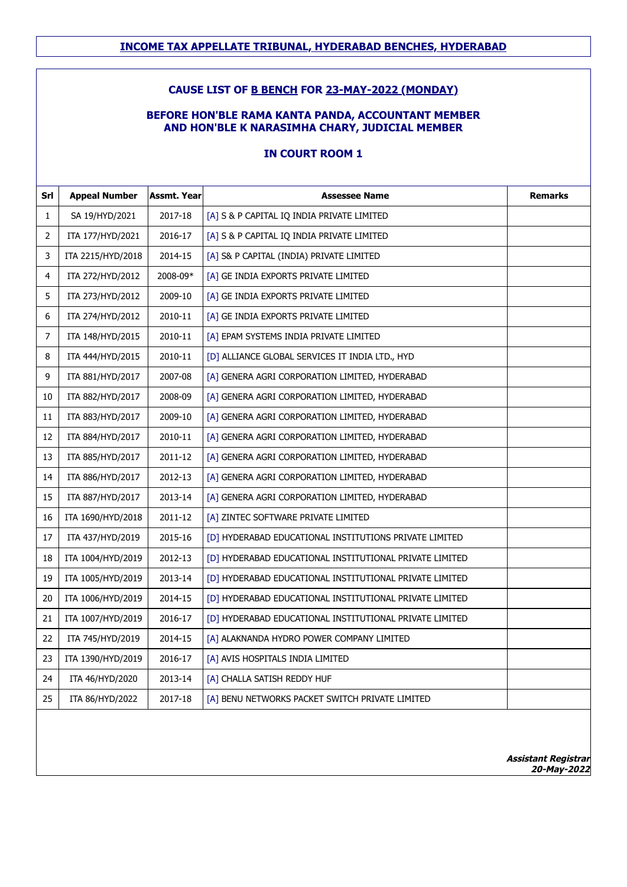### **CAUSE LIST OF B BENCH FOR 23-MAY-2022 (MONDAY)**

### **BEFORE HON'BLE RAMA KANTA PANDA, ACCOUNTANT MEMBER AND HON'BLE K NARASIMHA CHARY, JUDICIAL MEMBER**

| Srl | <b>Appeal Number</b> | <b>Assmt. Year</b> | <b>Assessee Name</b>                                    | <b>Remarks</b> |
|-----|----------------------|--------------------|---------------------------------------------------------|----------------|
| 1   | SA 19/HYD/2021       | 2017-18            | [A] S & P CAPITAL IQ INDIA PRIVATE LIMITED              |                |
| 2   | ITA 177/HYD/2021     | 2016-17            | [A] S & P CAPITAL IQ INDIA PRIVATE LIMITED              |                |
| 3   | ITA 2215/HYD/2018    | 2014-15            | [A] S& P CAPITAL (INDIA) PRIVATE LIMITED                |                |
| 4   | ITA 272/HYD/2012     | 2008-09*           | [A] GE INDIA EXPORTS PRIVATE LIMITED                    |                |
| 5   | ITA 273/HYD/2012     | 2009-10            | [A] GE INDIA EXPORTS PRIVATE LIMITED                    |                |
| 6   | ITA 274/HYD/2012     | 2010-11            | [A] GE INDIA EXPORTS PRIVATE LIMITED                    |                |
| 7   | ITA 148/HYD/2015     | 2010-11            | [A] EPAM SYSTEMS INDIA PRIVATE LIMITED                  |                |
| 8   | ITA 444/HYD/2015     | 2010-11            | [D] ALLIANCE GLOBAL SERVICES IT INDIA LTD., HYD         |                |
| 9   | ITA 881/HYD/2017     | 2007-08            | [A] GENERA AGRI CORPORATION LIMITED, HYDERABAD          |                |
| 10  | ITA 882/HYD/2017     | 2008-09            | [A] GENERA AGRI CORPORATION LIMITED, HYDERABAD          |                |
| 11  | ITA 883/HYD/2017     | 2009-10            | [A] GENERA AGRI CORPORATION LIMITED, HYDERABAD          |                |
| 12  | ITA 884/HYD/2017     | 2010-11            | [A] GENERA AGRI CORPORATION LIMITED, HYDERABAD          |                |
| 13  | ITA 885/HYD/2017     | 2011-12            | [A] GENERA AGRI CORPORATION LIMITED, HYDERABAD          |                |
| 14  | ITA 886/HYD/2017     | 2012-13            | [A] GENERA AGRI CORPORATION LIMITED, HYDERABAD          |                |
| 15  | ITA 887/HYD/2017     | 2013-14            | [A] GENERA AGRI CORPORATION LIMITED, HYDERABAD          |                |
| 16  | ITA 1690/HYD/2018    | 2011-12            | [A] ZINTEC SOFTWARE PRIVATE LIMITED                     |                |
| 17  | ITA 437/HYD/2019     | 2015-16            | [D] HYDERABAD EDUCATIONAL INSTITUTIONS PRIVATE LIMITED  |                |
| 18  | ITA 1004/HYD/2019    | 2012-13            | [D] HYDERABAD EDUCATIONAL INSTITUTIONAL PRIVATE LIMITED |                |
| 19  | ITA 1005/HYD/2019    | 2013-14            | [D] HYDERABAD EDUCATIONAL INSTITUTIONAL PRIVATE LIMITED |                |
| 20  | ITA 1006/HYD/2019    | 2014-15            | [D] HYDERABAD EDUCATIONAL INSTITUTIONAL PRIVATE LIMITED |                |
| 21  | ITA 1007/HYD/2019    | 2016-17            | [D] HYDERABAD EDUCATIONAL INSTITUTIONAL PRIVATE LIMITED |                |
| 22  | ITA 745/HYD/2019     | 2014-15            | [A] ALAKNANDA HYDRO POWER COMPANY LIMITED               |                |
| 23  | ITA 1390/HYD/2019    | 2016-17            | [A] AVIS HOSPITALS INDIA LIMITED                        |                |
| 24  | ITA 46/HYD/2020      | 2013-14            | [A] CHALLA SATISH REDDY HUF                             |                |
| 25  | ITA 86/HYD/2022      | 2017-18            | [A] BENU NETWORKS PACKET SWITCH PRIVATE LIMITED         |                |
|     |                      |                    |                                                         |                |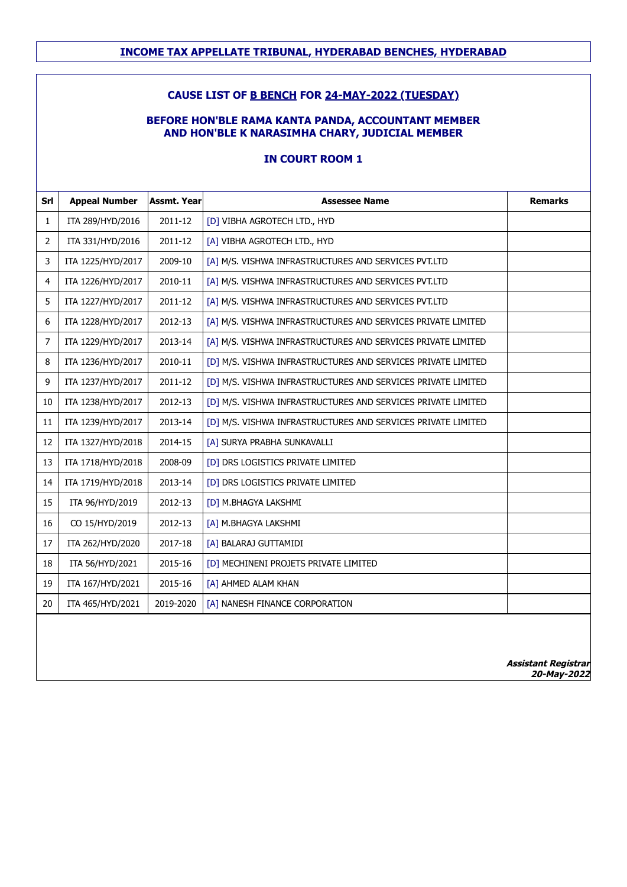### **CAUSE LIST OF B BENCH FOR 24-MAY-2022 (TUESDAY)**

#### **BEFORE HON'BLE RAMA KANTA PANDA, ACCOUNTANT MEMBER AND HON'BLE K NARASIMHA CHARY, JUDICIAL MEMBER**

| Srl            | <b>Appeal Number</b> | <b>Assmt. Year</b> | <b>Assessee Name</b>                                         | <b>Remarks</b>             |
|----------------|----------------------|--------------------|--------------------------------------------------------------|----------------------------|
| $\mathbf{1}$   | ITA 289/HYD/2016     | 2011-12            | [D] VIBHA AGROTECH LTD., HYD                                 |                            |
| $\overline{2}$ | ITA 331/HYD/2016     | 2011-12            | [A] VIBHA AGROTECH LTD., HYD                                 |                            |
| 3              | ITA 1225/HYD/2017    | 2009-10            | [A] M/S. VISHWA INFRASTRUCTURES AND SERVICES PVT.LTD         |                            |
| 4              | ITA 1226/HYD/2017    | 2010-11            | [A] M/S. VISHWA INFRASTRUCTURES AND SERVICES PVT.LTD         |                            |
| 5              | ITA 1227/HYD/2017    | 2011-12            | [A] M/S. VISHWA INFRASTRUCTURES AND SERVICES PVT.LTD         |                            |
| 6              | ITA 1228/HYD/2017    | 2012-13            | [A] M/S. VISHWA INFRASTRUCTURES AND SERVICES PRIVATE LIMITED |                            |
| 7              | ITA 1229/HYD/2017    | 2013-14            | [A] M/S. VISHWA INFRASTRUCTURES AND SERVICES PRIVATE LIMITED |                            |
| 8              | ITA 1236/HYD/2017    | 2010-11            | [D] M/S. VISHWA INFRASTRUCTURES AND SERVICES PRIVATE LIMITED |                            |
| 9              | ITA 1237/HYD/2017    | 2011-12            | [D] M/S. VISHWA INFRASTRUCTURES AND SERVICES PRIVATE LIMITED |                            |
| 10             | ITA 1238/HYD/2017    | 2012-13            | [D] M/S. VISHWA INFRASTRUCTURES AND SERVICES PRIVATE LIMITED |                            |
| 11             | ITA 1239/HYD/2017    | 2013-14            | [D] M/S. VISHWA INFRASTRUCTURES AND SERVICES PRIVATE LIMITED |                            |
| 12             | ITA 1327/HYD/2018    | 2014-15            | [A] SURYA PRABHA SUNKAVALLI                                  |                            |
| 13             | ITA 1718/HYD/2018    | 2008-09            | [D] DRS LOGISTICS PRIVATE LIMITED                            |                            |
| 14             | ITA 1719/HYD/2018    | 2013-14            | [D] DRS LOGISTICS PRIVATE LIMITED                            |                            |
| 15             | ITA 96/HYD/2019      | 2012-13            | [D] M.BHAGYA LAKSHMI                                         |                            |
| 16             | CO 15/HYD/2019       | 2012-13            | [A] M.BHAGYA LAKSHMI                                         |                            |
| 17             | ITA 262/HYD/2020     | 2017-18            | [A] BALARAJ GUTTAMIDI                                        |                            |
| 18             | ITA 56/HYD/2021      | 2015-16            | [D] MECHINENI PROJETS PRIVATE LIMITED                        |                            |
| 19             | ITA 167/HYD/2021     | 2015-16            | [A] AHMED ALAM KHAN                                          |                            |
| 20             | ITA 465/HYD/2021     | 2019-2020          | [A] NANESH FINANCE CORPORATION                               |                            |
|                |                      |                    |                                                              |                            |
|                |                      |                    |                                                              | <b>Assistant Registrar</b> |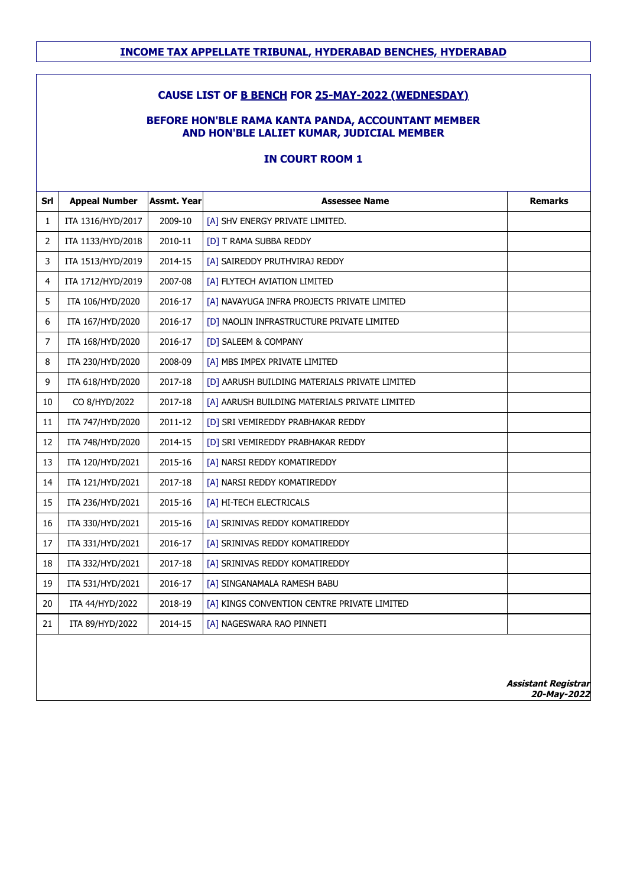### **CAUSE LIST OF B BENCH FOR 25-MAY-2022 (WEDNESDAY)**

#### **BEFORE HON'BLE RAMA KANTA PANDA, ACCOUNTANT MEMBER AND HON'BLE LALIET KUMAR, JUDICIAL MEMBER**

| Srl            | <b>Appeal Number</b> | <b>Assmt. Year</b> | <b>Assessee Name</b>                          | <b>Remarks</b>                            |
|----------------|----------------------|--------------------|-----------------------------------------------|-------------------------------------------|
| $\mathbf{1}$   | ITA 1316/HYD/2017    | 2009-10            | [A] SHV ENERGY PRIVATE LIMITED.               |                                           |
| $\overline{2}$ | ITA 1133/HYD/2018    | 2010-11            | [D] T RAMA SUBBA REDDY                        |                                           |
| 3              | ITA 1513/HYD/2019    | 2014-15            | [A] SAIREDDY PRUTHVIRAJ REDDY                 |                                           |
| 4              | ITA 1712/HYD/2019    | 2007-08            | [A] FLYTECH AVIATION LIMITED                  |                                           |
| 5              | ITA 106/HYD/2020     | 2016-17            | [A] NAVAYUGA INFRA PROJECTS PRIVATE LIMITED   |                                           |
| 6              | ITA 167/HYD/2020     | 2016-17            | [D] NAOLIN INFRASTRUCTURE PRIVATE LIMITED     |                                           |
| $\overline{7}$ | ITA 168/HYD/2020     | 2016-17            | [D] SALEEM & COMPANY                          |                                           |
| $\, 8$         | ITA 230/HYD/2020     | 2008-09            | [A] MBS IMPEX PRIVATE LIMITED                 |                                           |
| 9              | ITA 618/HYD/2020     | 2017-18            | [D] AARUSH BUILDING MATERIALS PRIVATE LIMITED |                                           |
| 10             | CO 8/HYD/2022        | 2017-18            | [A] AARUSH BUILDING MATERIALS PRIVATE LIMITED |                                           |
| 11             | ITA 747/HYD/2020     | 2011-12            | [D] SRI VEMIREDDY PRABHAKAR REDDY             |                                           |
| 12             | ITA 748/HYD/2020     | 2014-15            | [D] SRI VEMIREDDY PRABHAKAR REDDY             |                                           |
| 13             | ITA 120/HYD/2021     | 2015-16            | [A] NARSI REDDY KOMATIREDDY                   |                                           |
| 14             | ITA 121/HYD/2021     | 2017-18            | [A] NARSI REDDY KOMATIREDDY                   |                                           |
| 15             | ITA 236/HYD/2021     | 2015-16            | [A] HI-TECH ELECTRICALS                       |                                           |
| 16             | ITA 330/HYD/2021     | 2015-16            | [A] SRINIVAS REDDY KOMATIREDDY                |                                           |
| 17             | ITA 331/HYD/2021     | 2016-17            | [A] SRINIVAS REDDY KOMATIREDDY                |                                           |
| 18             | ITA 332/HYD/2021     | 2017-18            | [A] SRINIVAS REDDY KOMATIREDDY                |                                           |
| 19             | ITA 531/HYD/2021     | 2016-17            | [A] SINGANAMALA RAMESH BABU                   |                                           |
| 20             | ITA 44/HYD/2022      | 2018-19            | [A] KINGS CONVENTION CENTRE PRIVATE LIMITED   |                                           |
| 21             | ITA 89/HYD/2022      | 2014-15            | [A] NAGESWARA RAO PINNETI                     |                                           |
|                |                      |                    |                                               |                                           |
|                |                      |                    |                                               |                                           |
|                |                      |                    |                                               | <b>Assistant Registrar</b><br>20-May-2022 |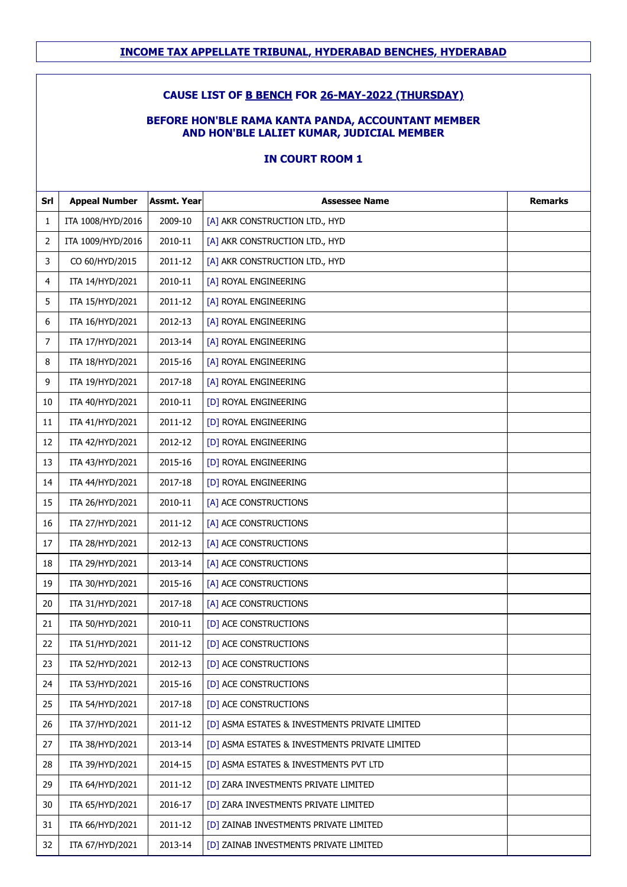#### **CAUSE LIST OF B BENCH FOR 26-MAY-2022 (THURSDAY)**

#### **BEFORE HON'BLE RAMA KANTA PANDA, ACCOUNTANT MEMBER AND HON'BLE LALIET KUMAR, JUDICIAL MEMBER**

| Srl | <b>Appeal Number</b> | <b>Assmt. Year</b> | <b>Assessee Name</b>                           | <b>Remarks</b> |
|-----|----------------------|--------------------|------------------------------------------------|----------------|
| 1   | ITA 1008/HYD/2016    | 2009-10            | [A] AKR CONSTRUCTION LTD., HYD                 |                |
| 2   | ITA 1009/HYD/2016    | 2010-11            | [A] AKR CONSTRUCTION LTD., HYD                 |                |
| 3   | CO 60/HYD/2015       | 2011-12            | [A] AKR CONSTRUCTION LTD., HYD                 |                |
| 4   | ITA 14/HYD/2021      | 2010-11            | [A] ROYAL ENGINEERING                          |                |
| 5   | ITA 15/HYD/2021      | 2011-12            | [A] ROYAL ENGINEERING                          |                |
| 6   | ITA 16/HYD/2021      | 2012-13            | [A] ROYAL ENGINEERING                          |                |
| 7   | ITA 17/HYD/2021      | 2013-14            | [A] ROYAL ENGINEERING                          |                |
| 8   | ITA 18/HYD/2021      | 2015-16            | [A] ROYAL ENGINEERING                          |                |
| 9   | ITA 19/HYD/2021      | 2017-18            | [A] ROYAL ENGINEERING                          |                |
| 10  | ITA 40/HYD/2021      | 2010-11            | [D] ROYAL ENGINEERING                          |                |
| 11  | ITA 41/HYD/2021      | 2011-12            | [D] ROYAL ENGINEERING                          |                |
| 12  | ITA 42/HYD/2021      | 2012-12            | [D] ROYAL ENGINEERING                          |                |
| 13  | ITA 43/HYD/2021      | 2015-16            | [D] ROYAL ENGINEERING                          |                |
| 14  | ITA 44/HYD/2021      | 2017-18            | [D] ROYAL ENGINEERING                          |                |
| 15  | ITA 26/HYD/2021      | 2010-11            | [A] ACE CONSTRUCTIONS                          |                |
| 16  | ITA 27/HYD/2021      | 2011-12            | [A] ACE CONSTRUCTIONS                          |                |
| 17  | ITA 28/HYD/2021      | 2012-13            | [A] ACE CONSTRUCTIONS                          |                |
| 18  | ITA 29/HYD/2021      | 2013-14            | [A] ACE CONSTRUCTIONS                          |                |
| 19  | ITA 30/HYD/2021      | 2015-16            | [A] ACE CONSTRUCTIONS                          |                |
| 20  | ITA 31/HYD/2021      | 2017-18            | [A] ACE CONSTRUCTIONS                          |                |
| 21  | ITA 50/HYD/2021      | 2010-11            | [D] ACE CONSTRUCTIONS                          |                |
| 22  | ITA 51/HYD/2021      | 2011-12            | [D] ACE CONSTRUCTIONS                          |                |
| 23  | ITA 52/HYD/2021      | 2012-13            | [D] ACE CONSTRUCTIONS                          |                |
| 24  | ITA 53/HYD/2021      | 2015-16            | [D] ACE CONSTRUCTIONS                          |                |
| 25  | ITA 54/HYD/2021      | 2017-18            | [D] ACE CONSTRUCTIONS                          |                |
| 26  | ITA 37/HYD/2021      | 2011-12            | [D] ASMA ESTATES & INVESTMENTS PRIVATE LIMITED |                |
| 27  | ITA 38/HYD/2021      | 2013-14            | [D] ASMA ESTATES & INVESTMENTS PRIVATE LIMITED |                |
| 28  | ITA 39/HYD/2021      | 2014-15            | [D] ASMA ESTATES & INVESTMENTS PVT LTD         |                |
| 29  | ITA 64/HYD/2021      | 2011-12            | [D] ZARA INVESTMENTS PRIVATE LIMITED           |                |
| 30  | ITA 65/HYD/2021      | 2016-17            | [D] ZARA INVESTMENTS PRIVATE LIMITED           |                |
| 31  | ITA 66/HYD/2021      | 2011-12            | [D] ZAINAB INVESTMENTS PRIVATE LIMITED         |                |
| 32  | ITA 67/HYD/2021      | 2013-14            | [D] ZAINAB INVESTMENTS PRIVATE LIMITED         |                |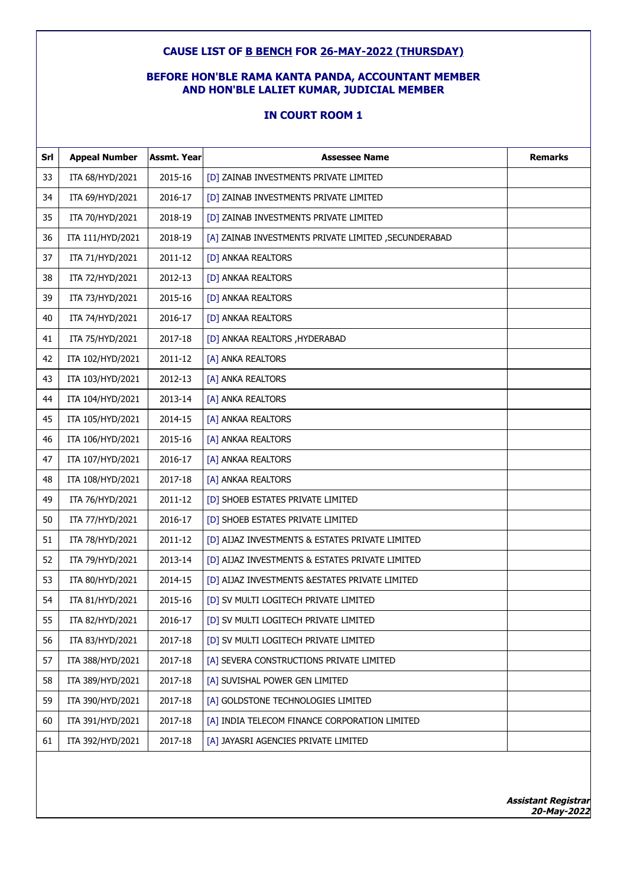#### **CAUSE LIST OF B BENCH FOR 26-MAY-2022 (THURSDAY)**

### **BEFORE HON'BLE RAMA KANTA PANDA, ACCOUNTANT MEMBER AND HON'BLE LALIET KUMAR, JUDICIAL MEMBER**

### **IN COURT ROOM 1**

| Srl | <b>Appeal Number</b> | <b>Assmt. Year</b> | <b>Assessee Name</b>                                 | <b>Remarks</b> |
|-----|----------------------|--------------------|------------------------------------------------------|----------------|
| 33  | ITA 68/HYD/2021      | 2015-16            | [D] ZAINAB INVESTMENTS PRIVATE LIMITED               |                |
| 34  | ITA 69/HYD/2021      | 2016-17            | [D] ZAINAB INVESTMENTS PRIVATE LIMITED               |                |
| 35  | ITA 70/HYD/2021      | 2018-19            | [D] ZAINAB INVESTMENTS PRIVATE LIMITED               |                |
| 36  | ITA 111/HYD/2021     | 2018-19            | [A] ZAINAB INVESTMENTS PRIVATE LIMITED, SECUNDERABAD |                |
| 37  | ITA 71/HYD/2021      | 2011-12            | [D] ANKAA REALTORS                                   |                |
| 38  | ITA 72/HYD/2021      | 2012-13            | [D] ANKAA REALTORS                                   |                |
| 39  | ITA 73/HYD/2021      | 2015-16            | [D] ANKAA REALTORS                                   |                |
| 40  | ITA 74/HYD/2021      | 2016-17            | [D] ANKAA REALTORS                                   |                |
| 41  | ITA 75/HYD/2021      | 2017-18            | [D] ANKAA REALTORS , HYDERABAD                       |                |
| 42  | ITA 102/HYD/2021     | 2011-12            | [A] ANKA REALTORS                                    |                |
| 43  | ITA 103/HYD/2021     | 2012-13            | [A] ANKA REALTORS                                    |                |
| 44  | ITA 104/HYD/2021     | 2013-14            | [A] ANKA REALTORS                                    |                |
| 45  | ITA 105/HYD/2021     | 2014-15            | [A] ANKAA REALTORS                                   |                |
| 46  | ITA 106/HYD/2021     | 2015-16            | [A] ANKAA REALTORS                                   |                |
| 47  | ITA 107/HYD/2021     | 2016-17            | [A] ANKAA REALTORS                                   |                |
| 48  | ITA 108/HYD/2021     | 2017-18            | [A] ANKAA REALTORS                                   |                |
| 49  | ITA 76/HYD/2021      | 2011-12            | [D] SHOEB ESTATES PRIVATE LIMITED                    |                |
| 50  | ITA 77/HYD/2021      | 2016-17            | [D] SHOEB ESTATES PRIVATE LIMITED                    |                |
| 51  | ITA 78/HYD/2021      | 2011-12            | [D] AIJAZ INVESTMENTS & ESTATES PRIVATE LIMITED      |                |
| 52  | ITA 79/HYD/2021      | 2013-14            | [D] AIJAZ INVESTMENTS & ESTATES PRIVATE LIMITED      |                |
| 53  | ITA 80/HYD/2021      | 2014-15            | [D] AIJAZ INVESTMENTS & ESTATES PRIVATE LIMITED      |                |
| 54  | ITA 81/HYD/2021      | 2015-16            | [D] SV MULTI LOGITECH PRIVATE LIMITED                |                |
| 55  | ITA 82/HYD/2021      | 2016-17            | [D] SV MULTI LOGITECH PRIVATE LIMITED                |                |
| 56  | ITA 83/HYD/2021      | 2017-18            | [D] SV MULTI LOGITECH PRIVATE LIMITED                |                |
| 57  | ITA 388/HYD/2021     | 2017-18            | [A] SEVERA CONSTRUCTIONS PRIVATE LIMITED             |                |
| 58  | ITA 389/HYD/2021     | 2017-18            | [A] SUVISHAL POWER GEN LIMITED                       |                |
| 59  | ITA 390/HYD/2021     | 2017-18            | [A] GOLDSTONE TECHNOLOGIES LIMITED                   |                |
| 60  | ITA 391/HYD/2021     | 2017-18            | [A] INDIA TELECOM FINANCE CORPORATION LIMITED        |                |
| 61  | ITA 392/HYD/2021     | 2017-18            | [A] JAYASRI AGENCIES PRIVATE LIMITED                 |                |
|     |                      |                    |                                                      |                |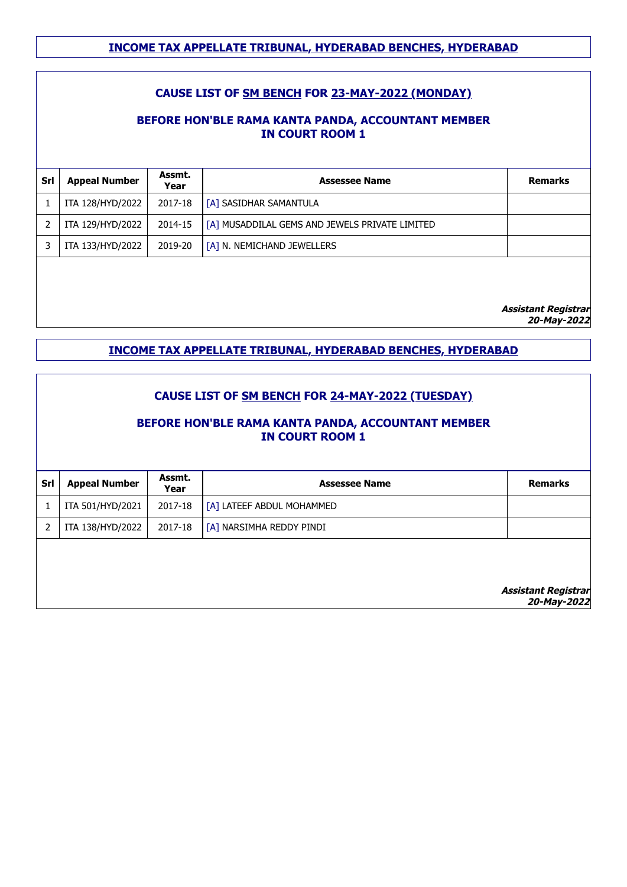# **CAUSE LIST OF SM BENCH FOR 23-MAY-2022 (MONDAY)**

## **BEFORE HON'BLE RAMA KANTA PANDA, ACCOUNTANT MEMBER IN COURT ROOM 1**

| <b>Appeal Number</b> | Assmt.<br>Year | <b>Assessee Name</b>                           | <b>Remarks</b> |
|----------------------|----------------|------------------------------------------------|----------------|
| ITA 128/HYD/2022     | 2017-18        | [A] SASIDHAR SAMANTULA                         |                |
| ITA 129/HYD/2022     | 2014-15        | [A] MUSADDILAL GEMS AND JEWELS PRIVATE LIMITED |                |
| ITA 133/HYD/2022     | 2019-20        | [A] N. NEMICHAND JEWELLERS                     |                |
|                      |                |                                                |                |
|                      |                |                                                |                |
|                      |                |                                                |                |

**Assistant Registrar**

**20-May-2022**

### **INCOME TAX APPELLATE TRIBUNAL, HYDERABAD BENCHES, HYDERABAD**

| <b>CAUSE LIST OF SM BENCH FOR 24-MAY-2022 (TUESDAY)</b><br>BEFORE HON'BLE RAMA KANTA PANDA, ACCOUNTANT MEMBER<br><b>IN COURT ROOM 1</b> |                                           |                |                           |                |  |
|-----------------------------------------------------------------------------------------------------------------------------------------|-------------------------------------------|----------------|---------------------------|----------------|--|
| Srl                                                                                                                                     | <b>Appeal Number</b>                      | Assmt.<br>Year | <b>Assessee Name</b>      | <b>Remarks</b> |  |
| 1                                                                                                                                       | ITA 501/HYD/2021                          | 2017-18        | [A] LATEEF ABDUL MOHAMMED |                |  |
| $\overline{2}$                                                                                                                          | ITA 138/HYD/2022                          | 2017-18        | [A] NARSIMHA REDDY PINDI  |                |  |
|                                                                                                                                         | <b>Assistant Registrar</b><br>20-May-2022 |                |                           |                |  |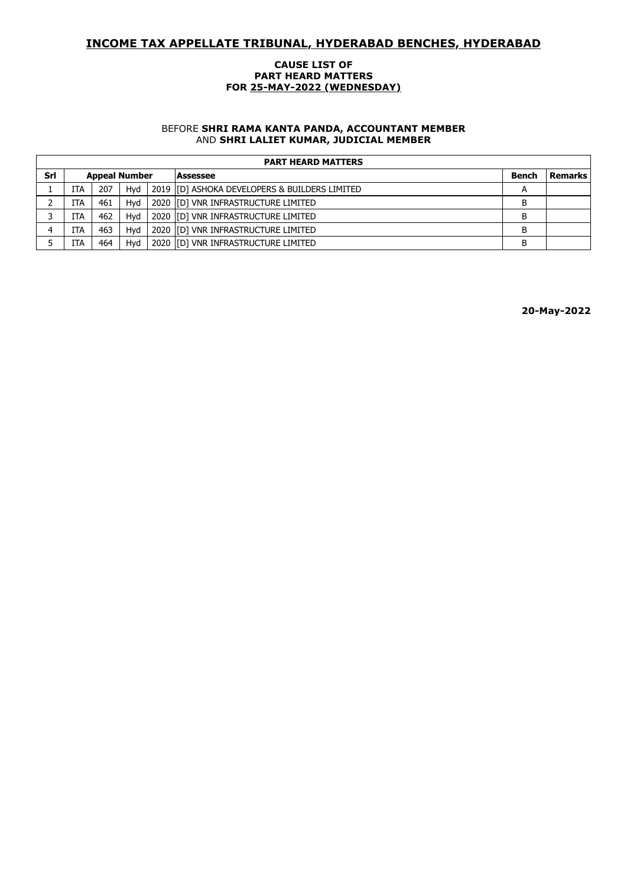#### **CAUSE LIST OF PART HEARD MATTERS FOR 25-MAY-2022 (WEDNESDAY)**

#### BEFORE **SHRI RAMA KANTA PANDA, ACCOUNTANT MEMBER** AND **SHRI LALIET KUMAR, JUDICIAL MEMBER**

|     | <b>PART HEARD MATTERS</b> |     |     |  |                                               |              |                |  |  |  |
|-----|---------------------------|-----|-----|--|-----------------------------------------------|--------------|----------------|--|--|--|
| Srl | <b>Appeal Number</b>      |     |     |  | Assessee                                      | <b>Bench</b> | <b>Remarks</b> |  |  |  |
|     | ITA                       | 207 | Hvd |  | 2019 [D] ASHOKA DEVELOPERS & BUILDERS LIMITED | A            |                |  |  |  |
|     | <b>ITA</b>                | 461 | Hvd |  | 2020 ID] VNR INFRASTRUCTURE LIMITED           | В            |                |  |  |  |
|     | ITA                       | 462 | Hvd |  | 2020 ID] VNR INFRASTRUCTURE LIMITED           | В            |                |  |  |  |
|     | ITA                       | 463 | Hvd |  | 2020 [[D] VNR INFRASTRUCTURE LIMITED          | B            |                |  |  |  |
|     | ITA                       | 464 | Hvd |  | 2020 IID1 VNR INFRASTRUCTURE LIMITED          | B            |                |  |  |  |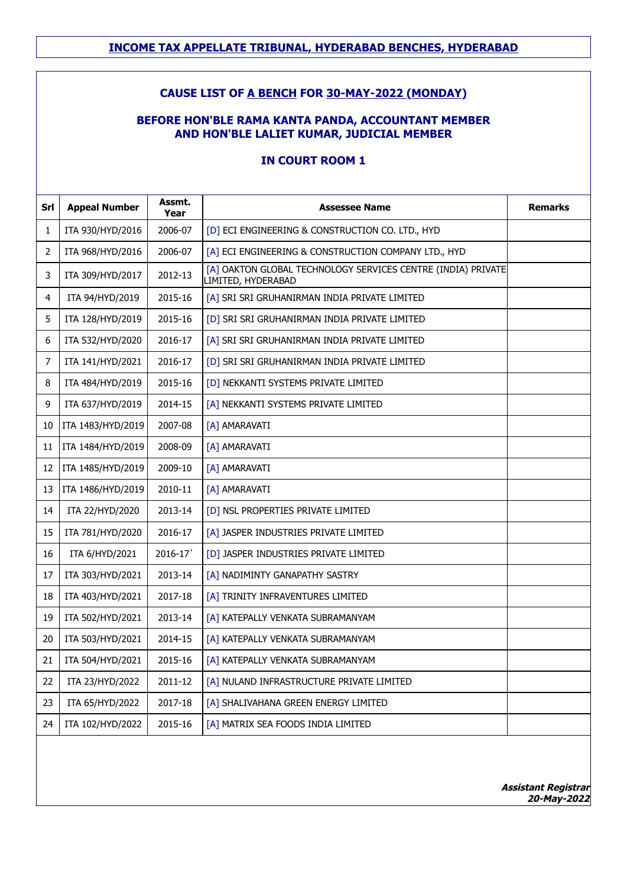### **CAUSE LIST OF A BENCH FOR 30-MAY-2022 (MONDAY)**

### **BEFORE HON'BLE RAMA KANTA PANDA, ACCOUNTANT MEMBER AND HON'BLE LALIET KUMAR, JUDICIAL MEMBER**

| Srl | <b>Appeal Number</b> | Assmt.<br>Year | <b>Assessee Name</b>                                                               | <b>Remarks</b> |
|-----|----------------------|----------------|------------------------------------------------------------------------------------|----------------|
| 1   | ITA 930/HYD/2016     | 2006-07        | [D] ECI ENGINEERING & CONSTRUCTION CO. LTD., HYD                                   |                |
| 2   | ITA 968/HYD/2016     | 2006-07        | [A] ECI ENGINEERING & CONSTRUCTION COMPANY LTD., HYD                               |                |
| 3   | ITA 309/HYD/2017     | 2012-13        | [A] OAKTON GLOBAL TECHNOLOGY SERVICES CENTRE (INDIA) PRIVATE<br>LIMITED, HYDERABAD |                |
| 4   | ITA 94/HYD/2019      | 2015-16        | [A] SRI SRI GRUHANIRMAN INDIA PRIVATE LIMITED                                      |                |
| 5   | ITA 128/HYD/2019     | 2015-16        | [D] SRI SRI GRUHANIRMAN INDIA PRIVATE LIMITED                                      |                |
| 6   | ITA 532/HYD/2020     | 2016-17        | [A] SRI SRI GRUHANIRMAN INDIA PRIVATE LIMITED                                      |                |
| 7   | ITA 141/HYD/2021     | 2016-17        | [D] SRI SRI GRUHANIRMAN INDIA PRIVATE LIMITED                                      |                |
| 8   | ITA 484/HYD/2019     | 2015-16        | [D] NEKKANTI SYSTEMS PRIVATE LIMITED                                               |                |
| 9   | ITA 637/HYD/2019     | 2014-15        | [A] NEKKANTI SYSTEMS PRIVATE LIMITED                                               |                |
| 10  | ITA 1483/HYD/2019    | 2007-08        | [A] AMARAVATI                                                                      |                |
| 11  | ITA 1484/HYD/2019    | 2008-09        | [A] AMARAVATI                                                                      |                |
| 12  | ITA 1485/HYD/2019    | 2009-10        | [A] AMARAVATI                                                                      |                |
| 13  | ITA 1486/HYD/2019    | 2010-11        | [A] AMARAVATI                                                                      |                |
| 14  | ITA 22/HYD/2020      | 2013-14        | [D] NSL PROPERTIES PRIVATE LIMITED                                                 |                |
| 15  | ITA 781/HYD/2020     | 2016-17        | [A] JASPER INDUSTRIES PRIVATE LIMITED                                              |                |
| 16  | ITA 6/HYD/2021       | 2016-17        | [D] JASPER INDUSTRIES PRIVATE LIMITED                                              |                |
| 17  | ITA 303/HYD/2021     | 2013-14        | [A] NADIMINTY GANAPATHY SASTRY                                                     |                |
| 18  | ITA 403/HYD/2021     | 2017-18        | [A] TRINITY INFRAVENTURES LIMITED                                                  |                |
| 19  | ITA 502/HYD/2021     | 2013-14        | [A] KATEPALLY VENKATA SUBRAMANYAM                                                  |                |
| 20  | ITA 503/HYD/2021     | 2014-15        | [A] KATEPALLY VENKATA SUBRAMANYAM                                                  |                |
| 21  | ITA 504/HYD/2021     | 2015-16        | [A] KATEPALLY VENKATA SUBRAMANYAM                                                  |                |
| 22  | ITA 23/HYD/2022      | 2011-12        | [A] NULAND INFRASTRUCTURE PRIVATE LIMITED                                          |                |
| 23  | ITA 65/HYD/2022      | 2017-18        | [A] SHALIVAHANA GREEN ENERGY LIMITED                                               |                |
| 24  | ITA 102/HYD/2022     | 2015-16        | [A] MATRIX SEA FOODS INDIA LIMITED                                                 |                |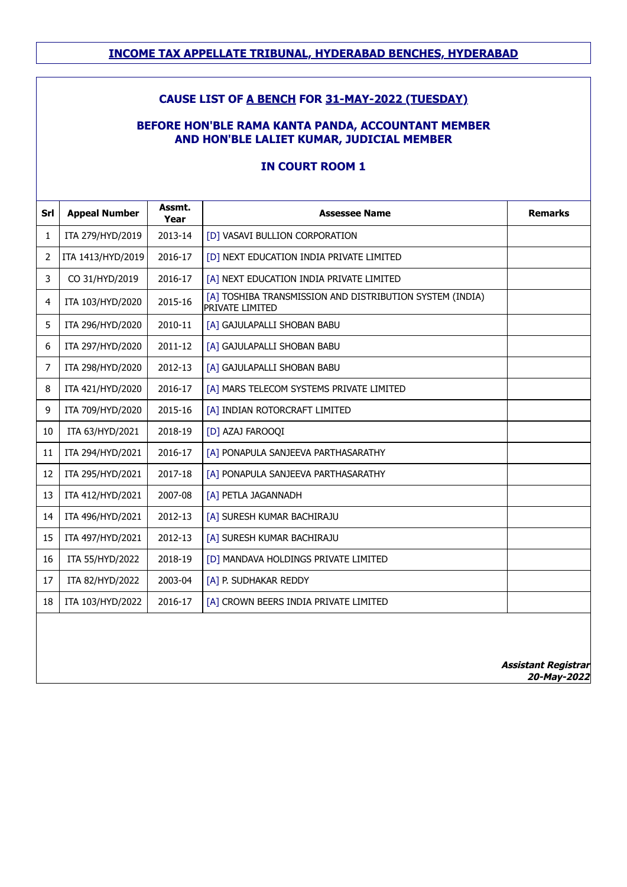# **CAUSE LIST OF A BENCH FOR 31-MAY-2022 (TUESDAY)**

### **BEFORE HON'BLE RAMA KANTA PANDA, ACCOUNTANT MEMBER AND HON'BLE LALIET KUMAR, JUDICIAL MEMBER**

| Srl | <b>Appeal Number</b> | Assmt.<br>Year | <b>Assessee Name</b>                                                        | <b>Remarks</b>             |
|-----|----------------------|----------------|-----------------------------------------------------------------------------|----------------------------|
| 1   | ITA 279/HYD/2019     | 2013-14        | [D] VASAVI BULLION CORPORATION                                              |                            |
| 2   | ITA 1413/HYD/2019    | 2016-17        | [D] NEXT EDUCATION INDIA PRIVATE LIMITED                                    |                            |
| 3   | CO 31/HYD/2019       | 2016-17        | [A] NEXT EDUCATION INDIA PRIVATE LIMITED                                    |                            |
| 4   | ITA 103/HYD/2020     | 2015-16        | [A] TOSHIBA TRANSMISSION AND DISTRIBUTION SYSTEM (INDIA)<br>PRIVATE LIMITED |                            |
| 5   | ITA 296/HYD/2020     | 2010-11        | [A] GAJULAPALLI SHOBAN BABU                                                 |                            |
| 6   | ITA 297/HYD/2020     | 2011-12        | [A] GAJULAPALLI SHOBAN BABU                                                 |                            |
| 7   | ITA 298/HYD/2020     | 2012-13        | [A] GAJULAPALLI SHOBAN BABU                                                 |                            |
| 8   | ITA 421/HYD/2020     | 2016-17        | [A] MARS TELECOM SYSTEMS PRIVATE LIMITED                                    |                            |
| 9   | ITA 709/HYD/2020     | 2015-16        | [A] INDIAN ROTORCRAFT LIMITED                                               |                            |
| 10  | ITA 63/HYD/2021      | 2018-19        | [D] AZAJ FAROOQI                                                            |                            |
| 11  | ITA 294/HYD/2021     | 2016-17        | [A] PONAPULA SANJEEVA PARTHASARATHY                                         |                            |
| 12  | ITA 295/HYD/2021     | 2017-18        | [A] PONAPULA SANJEEVA PARTHASARATHY                                         |                            |
| 13  | ITA 412/HYD/2021     | 2007-08        | [A] PETLA JAGANNADH                                                         |                            |
| 14  | ITA 496/HYD/2021     | 2012-13        | [A] SURESH KUMAR BACHIRAJU                                                  |                            |
| 15  | ITA 497/HYD/2021     | 2012-13        | [A] SURESH KUMAR BACHIRAJU                                                  |                            |
| 16  | ITA 55/HYD/2022      | 2018-19        | [D] MANDAVA HOLDINGS PRIVATE LIMITED                                        |                            |
| 17  | ITA 82/HYD/2022      | 2003-04        | [A] P. SUDHAKAR REDDY                                                       |                            |
| 18  | ITA 103/HYD/2022     | 2016-17        | [A] CROWN BEERS INDIA PRIVATE LIMITED                                       |                            |
|     |                      |                |                                                                             |                            |
|     |                      |                |                                                                             | <b>Assistant Registrar</b> |

#### **IN COURT ROOM 1**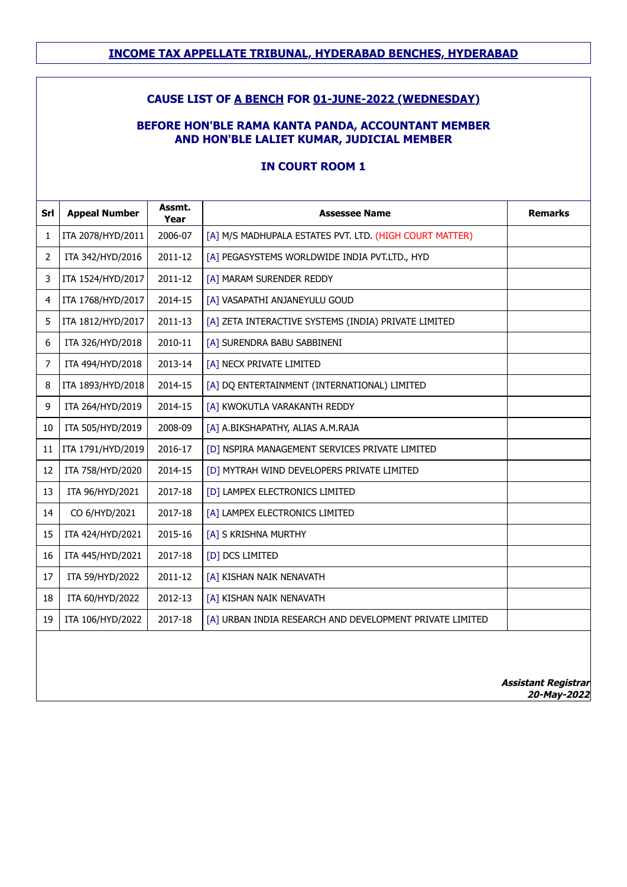### **CAUSE LIST OF A BENCH FOR 01-JUNE-2022 (WEDNESDAY)**

### **BEFORE HON'BLE RAMA KANTA PANDA, ACCOUNTANT MEMBER AND HON'BLE LALIET KUMAR, JUDICIAL MEMBER**

| Srl | <b>Appeal Number</b> | Assmt.<br>Year | <b>Assessee Name</b>                                     | <b>Remarks</b>             |
|-----|----------------------|----------------|----------------------------------------------------------|----------------------------|
| 1   | ITA 2078/HYD/2011    | 2006-07        | [A] M/S MADHUPALA ESTATES PVT. LTD. (HIGH COURT MATTER)  |                            |
| 2   | ITA 342/HYD/2016     | 2011-12        | [A] PEGASYSTEMS WORLDWIDE INDIA PVT.LTD., HYD            |                            |
| 3   | ITA 1524/HYD/2017    | 2011-12        | [A] MARAM SURENDER REDDY                                 |                            |
| 4   | ITA 1768/HYD/2017    | 2014-15        | [A] VASAPATHI ANJANEYULU GOUD                            |                            |
| 5   | ITA 1812/HYD/2017    | 2011-13        | [A] ZETA INTERACTIVE SYSTEMS (INDIA) PRIVATE LIMITED     |                            |
| 6   | ITA 326/HYD/2018     | 2010-11        | [A] SURENDRA BABU SABBINENI                              |                            |
| 7   | ITA 494/HYD/2018     | 2013-14        | [A] NECX PRIVATE LIMITED                                 |                            |
| 8   | ITA 1893/HYD/2018    | 2014-15        | [A] DQ ENTERTAINMENT (INTERNATIONAL) LIMITED             |                            |
| 9   | ITA 264/HYD/2019     | 2014-15        | [A] KWOKUTLA VARAKANTH REDDY                             |                            |
| 10  | ITA 505/HYD/2019     | 2008-09        | [A] A.BIKSHAPATHY, ALIAS A.M.RAJA                        |                            |
| 11  | ITA 1791/HYD/2019    | 2016-17        | [D] NSPIRA MANAGEMENT SERVICES PRIVATE LIMITED           |                            |
| 12  | ITA 758/HYD/2020     | 2014-15        | [D] MYTRAH WIND DEVELOPERS PRIVATE LIMITED               |                            |
| 13  | ITA 96/HYD/2021      | 2017-18        | [D] LAMPEX ELECTRONICS LIMITED                           |                            |
| 14  | CO 6/HYD/2021        | 2017-18        | [A] LAMPEX ELECTRONICS LIMITED                           |                            |
| 15  | ITA 424/HYD/2021     | 2015-16        | [A] S KRISHNA MURTHY                                     |                            |
| 16  | ITA 445/HYD/2021     | 2017-18        | [D] DCS LIMITED                                          |                            |
| 17  | ITA 59/HYD/2022      | 2011-12        | [A] KISHAN NAIK NENAVATH                                 |                            |
| 18  | ITA 60/HYD/2022      | 2012-13        | [A] KISHAN NAIK NENAVATH                                 |                            |
| 19  | ITA 106/HYD/2022     | 2017-18        | [A] URBAN INDIA RESEARCH AND DEVELOPMENT PRIVATE LIMITED |                            |
|     |                      |                |                                                          |                            |
|     |                      |                |                                                          | <b>Assistant Registrar</b> |

#### **IN COURT ROOM 1**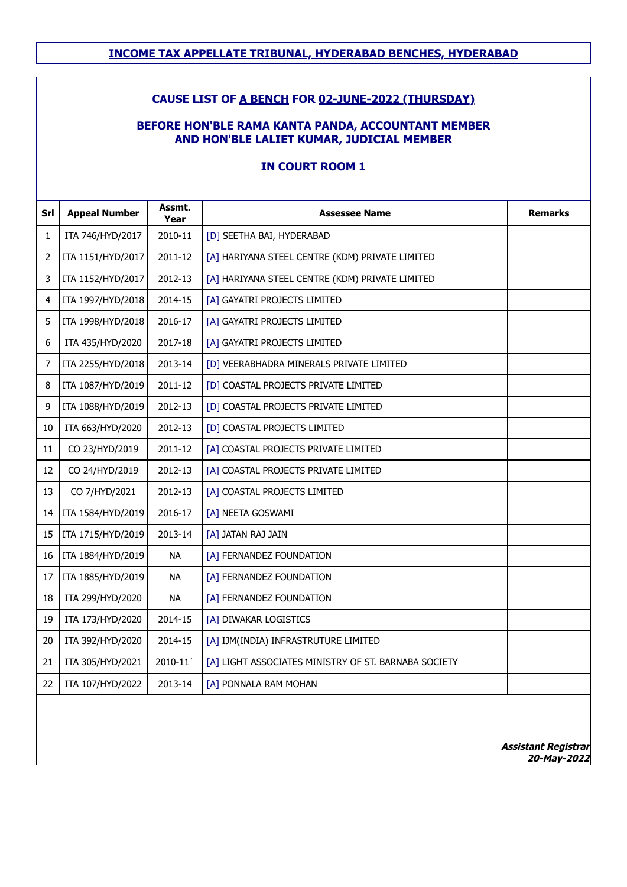### **CAUSE LIST OF A BENCH FOR 02-JUNE-2022 (THURSDAY)**

### **BEFORE HON'BLE RAMA KANTA PANDA, ACCOUNTANT MEMBER AND HON'BLE LALIET KUMAR, JUDICIAL MEMBER**

| Srl | <b>Appeal Number</b> | Assmt.<br>Year | <b>Assessee Name</b>                                 | <b>Remarks</b> |
|-----|----------------------|----------------|------------------------------------------------------|----------------|
| 1   | ITA 746/HYD/2017     | 2010-11        | [D] SEETHA BAI, HYDERABAD                            |                |
| 2   | ITA 1151/HYD/2017    | 2011-12        | [A] HARIYANA STEEL CENTRE (KDM) PRIVATE LIMITED      |                |
| 3   | ITA 1152/HYD/2017    | 2012-13        | [A] HARIYANA STEEL CENTRE (KDM) PRIVATE LIMITED      |                |
| 4   | ITA 1997/HYD/2018    | 2014-15        | [A] GAYATRI PROJECTS LIMITED                         |                |
| 5   | ITA 1998/HYD/2018    | 2016-17        | [A] GAYATRI PROJECTS LIMITED                         |                |
| 6   | ITA 435/HYD/2020     | 2017-18        | [A] GAYATRI PROJECTS LIMITED                         |                |
| 7   | ITA 2255/HYD/2018    | 2013-14        | [D] VEERABHADRA MINERALS PRIVATE LIMITED             |                |
| 8   | ITA 1087/HYD/2019    | 2011-12        | [D] COASTAL PROJECTS PRIVATE LIMITED                 |                |
| 9   | ITA 1088/HYD/2019    | 2012-13        | [D] COASTAL PROJECTS PRIVATE LIMITED                 |                |
| 10  | ITA 663/HYD/2020     | 2012-13        | [D] COASTAL PROJECTS LIMITED                         |                |
| 11  | CO 23/HYD/2019       | 2011-12        | [A] COASTAL PROJECTS PRIVATE LIMITED                 |                |
| 12  | CO 24/HYD/2019       | 2012-13        | [A] COASTAL PROJECTS PRIVATE LIMITED                 |                |
| 13  | CO 7/HYD/2021        | 2012-13        | [A] COASTAL PROJECTS LIMITED                         |                |
| 14  | ITA 1584/HYD/2019    | 2016-17        | [A] NEETA GOSWAMI                                    |                |
| 15  | ITA 1715/HYD/2019    | 2013-14        | [A] JATAN RAJ JAIN                                   |                |
| 16  | ITA 1884/HYD/2019    | <b>NA</b>      | [A] FERNANDEZ FOUNDATION                             |                |
| 17  | ITA 1885/HYD/2019    | <b>NA</b>      | [A] FERNANDEZ FOUNDATION                             |                |
| 18  | ITA 299/HYD/2020     | <b>NA</b>      | [A] FERNANDEZ FOUNDATION                             |                |
| 19  | ITA 173/HYD/2020     | 2014-15        | [A] DIWAKAR LOGISTICS                                |                |
| 20  | ITA 392/HYD/2020     | 2014-15        | [A] IJM(INDIA) INFRASTRUTURE LIMITED                 |                |
| 21  | ITA 305/HYD/2021     | 2010-11        | [A] LIGHT ASSOCIATES MINISTRY OF ST. BARNABA SOCIETY |                |
| 22  | ITA 107/HYD/2022     | 2013-14        | [A] PONNALA RAM MOHAN                                |                |
|     |                      |                |                                                      |                |

#### **IN COURT ROOM 1**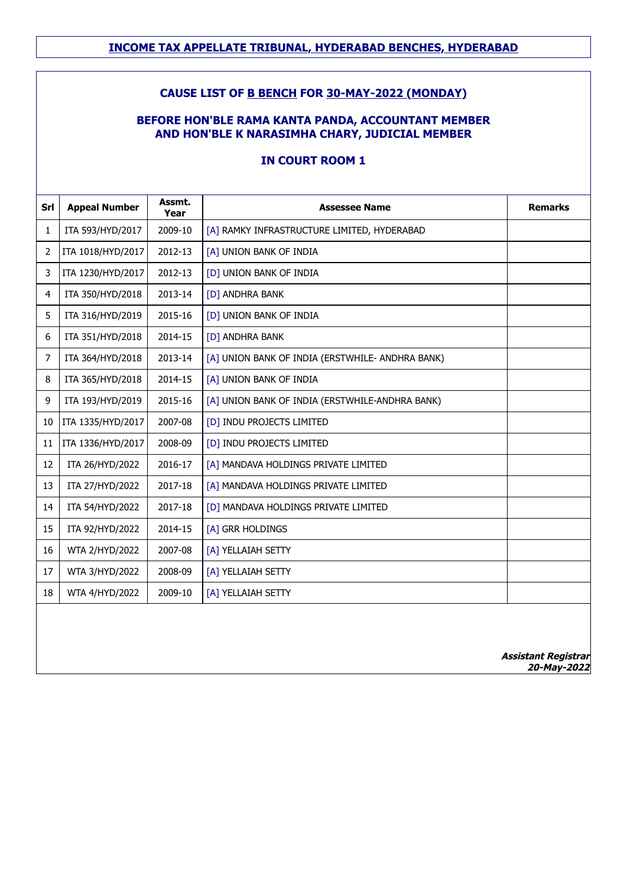### **CAUSE LIST OF B BENCH FOR 30-MAY-2022 (MONDAY)**

### **BEFORE HON'BLE RAMA KANTA PANDA, ACCOUNTANT MEMBER AND HON'BLE K NARASIMHA CHARY, JUDICIAL MEMBER**

### **IN COURT ROOM 1**

| Srl            | <b>Appeal Number</b> | Assmt.<br>Year | <b>Assessee Name</b>                             | <b>Remarks</b> |
|----------------|----------------------|----------------|--------------------------------------------------|----------------|
| 1              | ITA 593/HYD/2017     | 2009-10        | [A] RAMKY INFRASTRUCTURE LIMITED, HYDERABAD      |                |
| $\overline{2}$ | ITA 1018/HYD/2017    | 2012-13        | [A] UNION BANK OF INDIA                          |                |
| 3              | ITA 1230/HYD/2017    | 2012-13        | [D] UNION BANK OF INDIA                          |                |
| 4              | ITA 350/HYD/2018     | 2013-14        | [D] ANDHRA BANK                                  |                |
| 5              | ITA 316/HYD/2019     | 2015-16        | [D] UNION BANK OF INDIA                          |                |
| 6              | ITA 351/HYD/2018     | 2014-15        | [D] ANDHRA BANK                                  |                |
| 7              | ITA 364/HYD/2018     | 2013-14        | [A] UNION BANK OF INDIA (ERSTWHILE- ANDHRA BANK) |                |
| 8              | ITA 365/HYD/2018     | 2014-15        | [A] UNION BANK OF INDIA                          |                |
| 9              | ITA 193/HYD/2019     | 2015-16        | [A] UNION BANK OF INDIA (ERSTWHILE-ANDHRA BANK)  |                |
| 10             | ITA 1335/HYD/2017    | 2007-08        | [D] INDU PROJECTS LIMITED                        |                |
| 11             | ITA 1336/HYD/2017    | 2008-09        | [D] INDU PROJECTS LIMITED                        |                |
| 12             | ITA 26/HYD/2022      | 2016-17        | [A] MANDAVA HOLDINGS PRIVATE LIMITED             |                |
| 13             | ITA 27/HYD/2022      | 2017-18        | [A] MANDAVA HOLDINGS PRIVATE LIMITED             |                |
| 14             | ITA 54/HYD/2022      | 2017-18        | [D] MANDAVA HOLDINGS PRIVATE LIMITED             |                |
| 15             | ITA 92/HYD/2022      | 2014-15        | [A] GRR HOLDINGS                                 |                |
| 16             | WTA 2/HYD/2022       | 2007-08        | [A] YELLAIAH SETTY                               |                |
| 17             | WTA 3/HYD/2022       | 2008-09        | [A] YELLAIAH SETTY                               |                |
| 18             | WTA 4/HYD/2022       | 2009-10        | [A] YELLAIAH SETTY                               |                |
|                |                      |                |                                                  |                |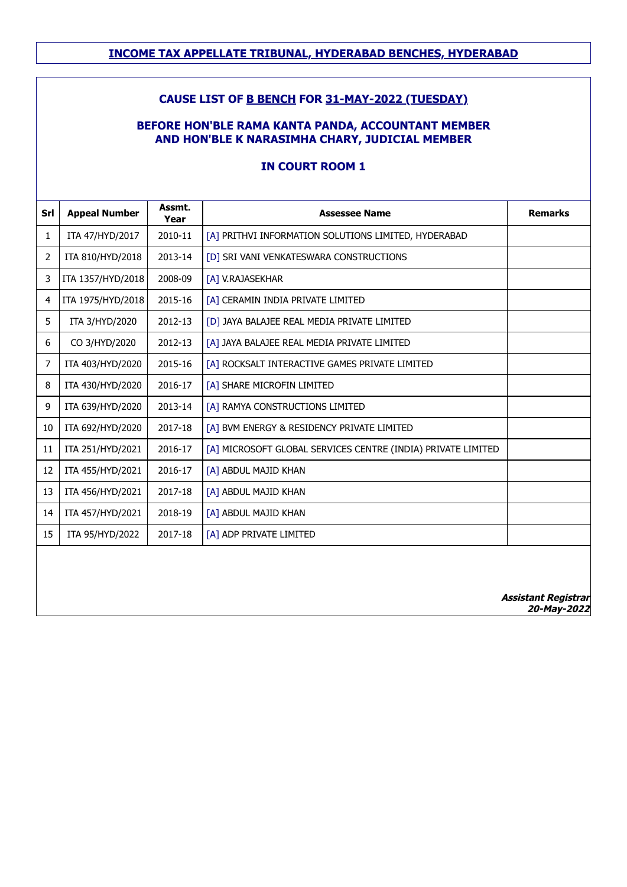### **CAUSE LIST OF B BENCH FOR 31-MAY-2022 (TUESDAY)**

### **BEFORE HON'BLE RAMA KANTA PANDA, ACCOUNTANT MEMBER AND HON'BLE K NARASIMHA CHARY, JUDICIAL MEMBER**

| Srl | <b>Appeal Number</b> | Assmt.<br>Year | <b>Assessee Name</b>                                         | <b>Remarks</b>             |
|-----|----------------------|----------------|--------------------------------------------------------------|----------------------------|
| 1   | ITA 47/HYD/2017      | 2010-11        | [A] PRITHVI INFORMATION SOLUTIONS LIMITED, HYDERABAD         |                            |
| 2   | ITA 810/HYD/2018     | 2013-14        | [D] SRI VANI VENKATESWARA CONSTRUCTIONS                      |                            |
| 3   | ITA 1357/HYD/2018    | 2008-09        | [A] V.RAJASEKHAR                                             |                            |
| 4   | ITA 1975/HYD/2018    | 2015-16        | [A] CERAMIN INDIA PRIVATE LIMITED                            |                            |
| 5   | ITA 3/HYD/2020       | 2012-13        | [D] JAYA BALAJEE REAL MEDIA PRIVATE LIMITED                  |                            |
| 6   | CO 3/HYD/2020        | 2012-13        | [A] JAYA BALAJEE REAL MEDIA PRIVATE LIMITED                  |                            |
| 7   | ITA 403/HYD/2020     | 2015-16        | [A] ROCKSALT INTERACTIVE GAMES PRIVATE LIMITED               |                            |
| 8   | ITA 430/HYD/2020     | 2016-17        | [A] SHARE MICROFIN LIMITED                                   |                            |
| 9   | ITA 639/HYD/2020     | 2013-14        | [A] RAMYA CONSTRUCTIONS LIMITED                              |                            |
| 10  | ITA 692/HYD/2020     | 2017-18        | [A] BVM ENERGY & RESIDENCY PRIVATE LIMITED                   |                            |
| 11  | ITA 251/HYD/2021     | 2016-17        | [A] MICROSOFT GLOBAL SERVICES CENTRE (INDIA) PRIVATE LIMITED |                            |
| 12  | ITA 455/HYD/2021     | 2016-17        | [A] ABDUL MAJID KHAN                                         |                            |
| 13  | ITA 456/HYD/2021     | 2017-18        | [A] ABDUL MAJID KHAN                                         |                            |
| 14  | ITA 457/HYD/2021     | 2018-19        | [A] ABDUL MAJID KHAN                                         |                            |
| 15  | ITA 95/HYD/2022      | 2017-18        | [A] ADP PRIVATE LIMITED                                      |                            |
|     |                      |                |                                                              | <b>Assistant Registrar</b> |

### **IN COURT ROOM 1**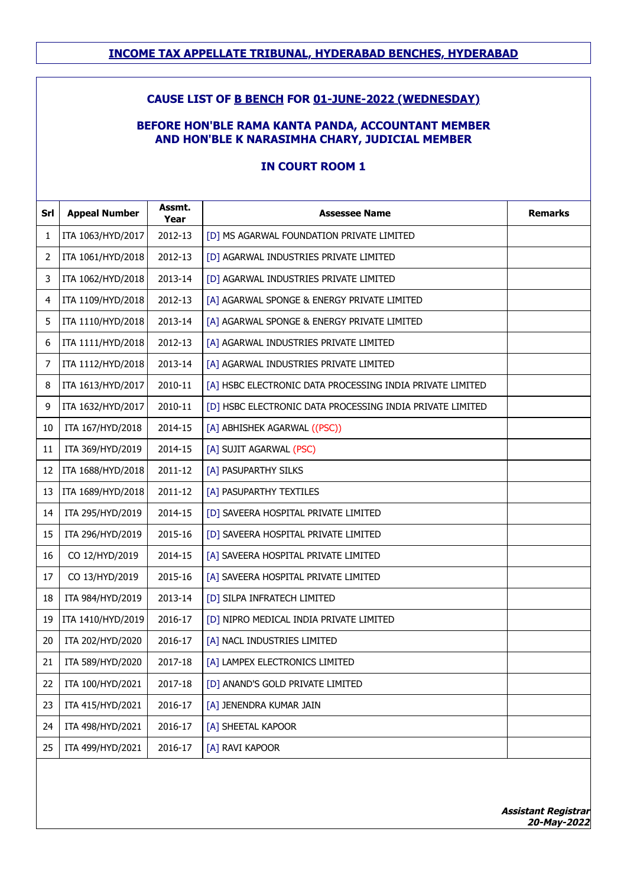### **CAUSE LIST OF B BENCH FOR 01-JUNE-2022 (WEDNESDAY)**

### **BEFORE HON'BLE RAMA KANTA PANDA, ACCOUNTANT MEMBER AND HON'BLE K NARASIMHA CHARY, JUDICIAL MEMBER**

| Srl | <b>Appeal Number</b> | Assmt.<br>Year | <b>Assessee Name</b>                                      | <b>Remarks</b> |
|-----|----------------------|----------------|-----------------------------------------------------------|----------------|
| 1   | ITA 1063/HYD/2017    | 2012-13        | [D] MS AGARWAL FOUNDATION PRIVATE LIMITED                 |                |
| 2   | ITA 1061/HYD/2018    | 2012-13        | [D] AGARWAL INDUSTRIES PRIVATE LIMITED                    |                |
| 3   | ITA 1062/HYD/2018    | 2013-14        | [D] AGARWAL INDUSTRIES PRIVATE LIMITED                    |                |
| 4   | ITA 1109/HYD/2018    | 2012-13        | [A] AGARWAL SPONGE & ENERGY PRIVATE LIMITED               |                |
| 5   | ITA 1110/HYD/2018    | 2013-14        | [A] AGARWAL SPONGE & ENERGY PRIVATE LIMITED               |                |
| 6   | ITA 1111/HYD/2018    | 2012-13        | [A] AGARWAL INDUSTRIES PRIVATE LIMITED                    |                |
| 7   | ITA 1112/HYD/2018    | 2013-14        | [A] AGARWAL INDUSTRIES PRIVATE LIMITED                    |                |
| 8   | ITA 1613/HYD/2017    | 2010-11        | [A] HSBC ELECTRONIC DATA PROCESSING INDIA PRIVATE LIMITED |                |
| 9   | ITA 1632/HYD/2017    | 2010-11        | [D] HSBC ELECTRONIC DATA PROCESSING INDIA PRIVATE LIMITED |                |
| 10  | ITA 167/HYD/2018     | 2014-15        | [A] ABHISHEK AGARWAL ((PSC))                              |                |
| 11  | ITA 369/HYD/2019     | 2014-15        | [A] SUJIT AGARWAL (PSC)                                   |                |
| 12  | ITA 1688/HYD/2018    | 2011-12        | [A] PASUPARTHY SILKS                                      |                |
| 13  | ITA 1689/HYD/2018    | 2011-12        | [A] PASUPARTHY TEXTILES                                   |                |
| 14  | ITA 295/HYD/2019     | 2014-15        | [D] SAVEERA HOSPITAL PRIVATE LIMITED                      |                |
| 15  | ITA 296/HYD/2019     | 2015-16        | [D] SAVEERA HOSPITAL PRIVATE LIMITED                      |                |
| 16  | CO 12/HYD/2019       | 2014-15        | [A] SAVEERA HOSPITAL PRIVATE LIMITED                      |                |
| 17  | CO 13/HYD/2019       | 2015-16        | [A] SAVEERA HOSPITAL PRIVATE LIMITED                      |                |
| 18  | ITA 984/HYD/2019     | 2013-14        | [D] SILPA INFRATECH LIMITED                               |                |
| 19  | ITA 1410/HYD/2019    | 2016-17        | [D] NIPRO MEDICAL INDIA PRIVATE LIMITED                   |                |
| 20  | ITA 202/HYD/2020     | 2016-17        | [A] NACL INDUSTRIES LIMITED                               |                |
| 21  | ITA 589/HYD/2020     | 2017-18        | [A] LAMPEX ELECTRONICS LIMITED                            |                |
| 22  | ITA 100/HYD/2021     | 2017-18        | [D] ANAND'S GOLD PRIVATE LIMITED                          |                |
| 23  | ITA 415/HYD/2021     | 2016-17        | [A] JENENDRA KUMAR JAIN                                   |                |
| 24  | ITA 498/HYD/2021     | 2016-17        | [A] SHEETAL KAPOOR                                        |                |
| 25  | ITA 499/HYD/2021     | 2016-17        | [A] RAVI KAPOOR                                           |                |
|     |                      |                |                                                           |                |

#### **IN COURT ROOM 1**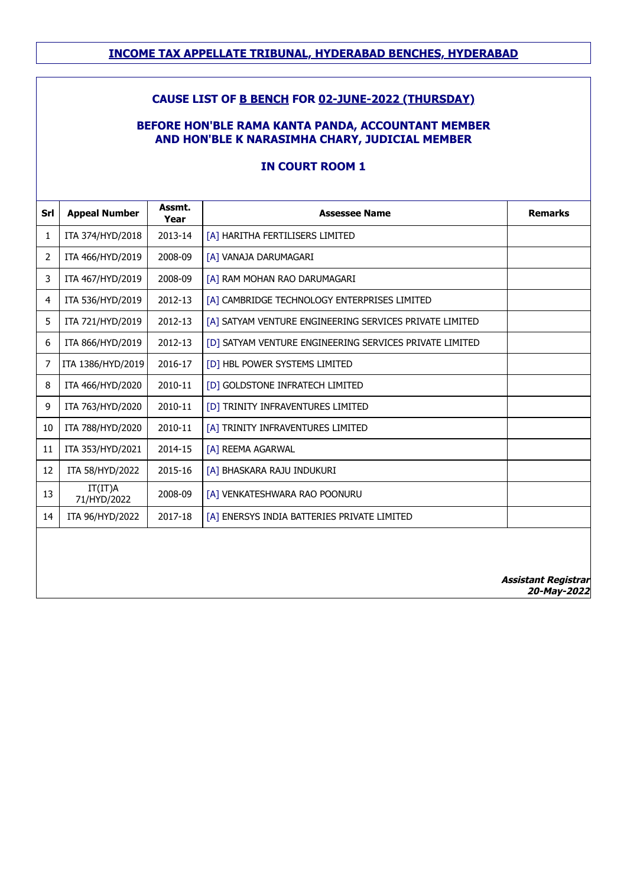### **CAUSE LIST OF B BENCH FOR 02-JUNE-2022 (THURSDAY)**

### **BEFORE HON'BLE RAMA KANTA PANDA, ACCOUNTANT MEMBER AND HON'BLE K NARASIMHA CHARY, JUDICIAL MEMBER**

| Srl | <b>Appeal Number</b>   | Assmt.<br>Year | <b>Assessee Name</b>                                    | <b>Remarks</b>             |
|-----|------------------------|----------------|---------------------------------------------------------|----------------------------|
| 1   | ITA 374/HYD/2018       | 2013-14        | [A] HARITHA FERTILISERS LIMITED                         |                            |
| 2   | ITA 466/HYD/2019       | 2008-09        | [A] VANAJA DARUMAGARI                                   |                            |
| 3   | ITA 467/HYD/2019       | 2008-09        | [A] RAM MOHAN RAO DARUMAGARI                            |                            |
| 4   | ITA 536/HYD/2019       | 2012-13        | [A] CAMBRIDGE TECHNOLOGY ENTERPRISES LIMITED            |                            |
| 5   | ITA 721/HYD/2019       | 2012-13        | [A] SATYAM VENTURE ENGINEERING SERVICES PRIVATE LIMITED |                            |
| 6   | ITA 866/HYD/2019       | 2012-13        | [D] SATYAM VENTURE ENGINEERING SERVICES PRIVATE LIMITED |                            |
| 7   | ITA 1386/HYD/2019      | 2016-17        | [D] HBL POWER SYSTEMS LIMITED                           |                            |
| 8   | ITA 466/HYD/2020       | 2010-11        | [D] GOLDSTONE INFRATECH LIMITED                         |                            |
| 9   | ITA 763/HYD/2020       | 2010-11        | [D] TRINITY INFRAVENTURES LIMITED                       |                            |
| 10  | ITA 788/HYD/2020       | 2010-11        | [A] TRINITY INFRAVENTURES LIMITED                       |                            |
| 11  | ITA 353/HYD/2021       | 2014-15        | [A] REEMA AGARWAL                                       |                            |
| 12  | ITA 58/HYD/2022        | 2015-16        | [A] BHASKARA RAJU INDUKURI                              |                            |
| 13  | IT(IT)A<br>71/HYD/2022 | 2008-09        | [A] VENKATESHWARA RAO POONURU                           |                            |
| 14  | ITA 96/HYD/2022        | 2017-18        | [A] ENERSYS INDIA BATTERIES PRIVATE LIMITED             |                            |
|     |                        |                |                                                         |                            |
|     |                        |                |                                                         | <b>Assistant Registrar</b> |

#### **IN COURT ROOM 1**